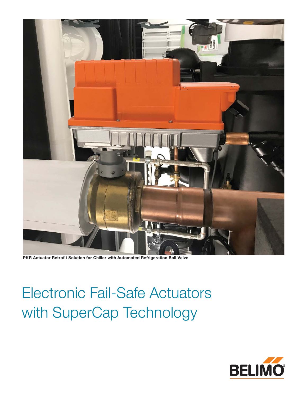

**PKR Actuator Retrofit Solution for Chiller with Automated Refrigeration Ball Valve**

Electronic Fail-Safe Actuators with SuperCap Technology

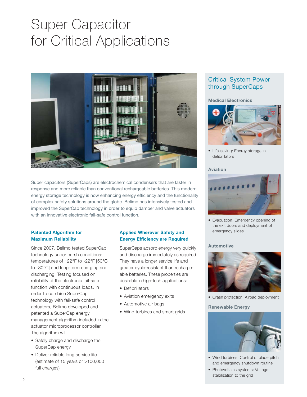# Super Capacitor for Critical Applications



Super capacitors (SuperCaps) are electrochemical condensers that are faster in response and more reliable than conventional rechargeable batteries. This modern energy storage technology is now enhancing energy efficiency and the functionality of complex safety solutions around the globe. Belimo has intensively tested and improved the SuperCap technology in order to equip damper and valve actuators with an innovative electronic fail-safe control function.

### **Patented Algorithm for Maximum Reliability**

Since 2007, Belimo tested SuperCap technology under harsh conditions: temperatures of 122°F to -22°F [50°C to -30°C] and long-term charging and discharging. Testing focused on reliability of the electronic fail-safe function with continuous loads. In order to combine SuperCap technology with fail-safe control actuators, Belimo developed and patented a SuperCap energy management algorithm included in the actuator microprocessor controller. The algorithm will:

- Safely charge and discharge the SuperCap energy
- Deliver reliable long service life (estimate of 15 years or >100,000 full charges)

## **Applied Wherever Safety and Energy Efficiency are Required**

SuperCaps absorb energy very quickly and discharge immediately as required. They have a longer service life and greater cycle-resistant than rechargeable batteries. These properties are desirable in high-tech applications:

- Defibrillators
- Aviation emergency exits
- Automotive air bags
- Wind turbines and smart grids

## Critical System Power through SuperCaps

**Medical Electronics**



• Life-saving: Energy storage in defibrillators

### **Aviation**



• Evacuation: Emergency opening of the exit doors and deployment of emergency slides

### **Automotive**



• Crash protection: Airbag deployment

#### **Renewable Energy**



- Wind turbines: Control of blade pitch and emergency shutdown routine
- Photovoltaics systems: Voltage stabilization to the grid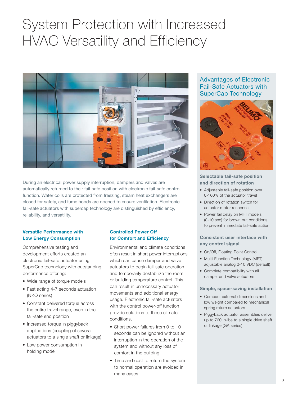## System Protection with Increased HVAC Versatility and Efficiency



During an electrical power supply interruption, dampers and valves are automatically returned to their fail-safe position with electronic fail-safe control function. Water coils are protected from freezing, steam heat exchangers are closed for safety, and fume hoods are opened to ensure ventilation. Electronic fail-safe actuators with supercap technology are distinguished by efficiency, reliability, and versatility.

### **Versatile Performance with Low Energy Consumption**

Comprehensive testing and development efforts created an electronic fail-safe actuator using SuperCap technology with outstanding performance offering:

- Wide range of torque models
- Fast acting 4-7 seconds actuation (NKQ series)
- Constant delivered torque across the entire travel range, even in the fail-safe end position
- Increased torque in piggyback applications (coupling of several actuators to a single shaft or linkage)
- Low power consumption in holding mode

## **Controlled Power Off for Comfort and Efficiency**

Environmental and climate conditions often result in short power interruptions which can cause damper and valve actuators to begin fail-safe operation and temporarily destabilize the room or building temperature control. This can result in unnecessary actuator movements and additional energy usage. Electronic fail-safe actuators with the control power-off function provide solutions to these climate conditions.

- Short power failures from 0 to 10 seconds can be ignored without an interruption in the operation of the system and without any loss of comfort in the building
- Time and cost to return the system to normal operation are avoided in many cases

Advantages of Electronic Fail-Safe Actuators with SuperCap Technology



### **Selectable fail-safe position and direction of rotation**

- Adjustable fail-safe position over 0-100% of the actuator travel
- Direction of rotation switch for actuator motor response
- Power fail delay on MFT models (0-10 sec) for brown out conditions to prevent immediate fail-safe action

### **Consistent user interface with any control signal**

- On/Off, Floating Point Control
- Multi-Function Technology (MFT) adjustable analog 2-10 VDC (default)
- Complete compatibility with all damper and valve actuators

### **Simple, space-saving installation**

- Compact external dimensions and low weight compared to mechanical spring return actuators
- Piggyback actuator assemblies deliver up to 720 in-lbs to a single drive shaft or linkage (GK series)